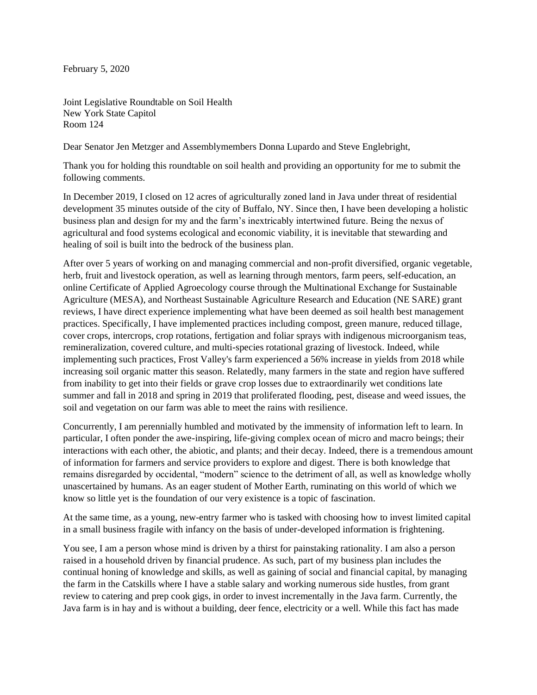February 5, 2020

Joint Legislative Roundtable on Soil Health New York State Capitol Room 124

Dear Senator Jen Metzger and Assemblymembers Donna Lupardo and Steve Englebright,

Thank you for holding this roundtable on soil health and providing an opportunity for me to submit the following comments.

In December 2019, I closed on 12 acres of agriculturally zoned land in Java under threat of residential development 35 minutes outside of the city of Buffalo, NY. Since then, I have been developing a holistic business plan and design for my and the farm's inextricably intertwined future. Being the nexus of agricultural and food systems ecological and economic viability, it is inevitable that stewarding and healing of soil is built into the bedrock of the business plan.

After over 5 years of working on and managing commercial and non-profit diversified, organic vegetable, herb, fruit and livestock operation, as well as learning through mentors, farm peers, self-education, an online Certificate of Applied Agroecology course through the Multinational Exchange for Sustainable Agriculture (MESA), and Northeast Sustainable Agriculture Research and Education (NE SARE) grant reviews, I have direct experience implementing what have been deemed as soil health best management practices. Specifically, I have implemented practices including compost, green manure, reduced tillage, cover crops, intercrops, crop rotations, fertigation and foliar sprays with indigenous microorganism teas, remineralization, covered culture, and multi-species rotational grazing of livestock. Indeed, while implementing such practices, Frost Valley's farm experienced a 56% increase in yields from 2018 while increasing soil organic matter this season. Relatedly, many farmers in the state and region have suffered from inability to get into their fields or grave crop losses due to extraordinarily wet conditions late summer and fall in 2018 and spring in 2019 that proliferated flooding, pest, disease and weed issues, the soil and vegetation on our farm was able to meet the rains with resilience.

Concurrently, I am perennially humbled and motivated by the immensity of information left to learn. In particular, I often ponder the awe-inspiring, life-giving complex ocean of micro and macro beings; their interactions with each other, the abiotic, and plants; and their decay. Indeed, there is a tremendous amount of information for farmers and service providers to explore and digest. There is both knowledge that remains disregarded by occidental, "modern" science to the detriment of all, as well as knowledge wholly unascertained by humans. As an eager student of Mother Earth, ruminating on this world of which we know so little yet is the foundation of our very existence is a topic of fascination.

At the same time, as a young, new-entry farmer who is tasked with choosing how to invest limited capital in a small business fragile with infancy on the basis of under-developed information is frightening.

You see, I am a person whose mind is driven by a thirst for painstaking rationality. I am also a person raised in a household driven by financial prudence. As such, part of my business plan includes the continual honing of knowledge and skills, as well as gaining of social and financial capital, by managing the farm in the Catskills where I have a stable salary and working numerous side hustles, from grant review to catering and prep cook gigs, in order to invest incrementally in the Java farm. Currently, the Java farm is in hay and is without a building, deer fence, electricity or a well. While this fact has made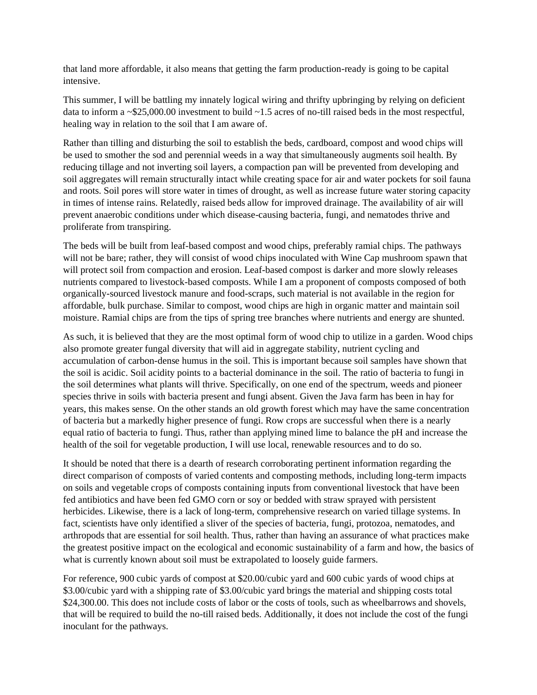that land more affordable, it also means that getting the farm production-ready is going to be capital intensive.

This summer, I will be battling my innately logical wiring and thrifty upbringing by relying on deficient data to inform a ~\$25,000.00 investment to build ~1.5 acres of no-till raised beds in the most respectful, healing way in relation to the soil that I am aware of.

Rather than tilling and disturbing the soil to establish the beds, cardboard, compost and wood chips will be used to smother the sod and perennial weeds in a way that simultaneously augments soil health. By reducing tillage and not inverting soil layers, a compaction pan will be prevented from developing and soil aggregates will remain structurally intact while creating space for air and water pockets for soil fauna and roots. Soil pores will store water in times of drought, as well as increase future water storing capacity in times of intense rains. Relatedly, raised beds allow for improved drainage. The availability of air will prevent anaerobic conditions under which disease-causing bacteria, fungi, and nematodes thrive and proliferate from transpiring.

The beds will be built from leaf-based compost and wood chips, preferably ramial chips. The pathways will not be bare; rather, they will consist of wood chips inoculated with Wine Cap mushroom spawn that will protect soil from compaction and erosion. Leaf-based compost is darker and more slowly releases nutrients compared to livestock-based composts. While I am a proponent of composts composed of both organically-sourced livestock manure and food-scraps, such material is not available in the region for affordable, bulk purchase. Similar to compost, wood chips are high in organic matter and maintain soil moisture. Ramial chips are from the tips of spring tree branches where nutrients and energy are shunted.

As such, it is believed that they are the most optimal form of wood chip to utilize in a garden. Wood chips also promote greater fungal diversity that will aid in aggregate stability, nutrient cycling and accumulation of carbon-dense humus in the soil. This is important because soil samples have shown that the soil is acidic. Soil acidity points to a bacterial dominance in the soil. The ratio of bacteria to fungi in the soil determines what plants will thrive. Specifically, on one end of the spectrum, weeds and pioneer species thrive in soils with bacteria present and fungi absent. Given the Java farm has been in hay for years, this makes sense. On the other stands an old growth forest which may have the same concentration of bacteria but a markedly higher presence of fungi. Row crops are successful when there is a nearly equal ratio of bacteria to fungi. Thus, rather than applying mined lime to balance the pH and increase the health of the soil for vegetable production, I will use local, renewable resources and to do so.

It should be noted that there is a dearth of research corroborating pertinent information regarding the direct comparison of composts of varied contents and composting methods, including long-term impacts on soils and vegetable crops of composts containing inputs from conventional livestock that have been fed antibiotics and have been fed GMO corn or soy or bedded with straw sprayed with persistent herbicides. Likewise, there is a lack of long-term, comprehensive research on varied tillage systems. In fact, scientists have only identified a sliver of the species of bacteria, fungi, protozoa, nematodes, and arthropods that are essential for soil health. Thus, rather than having an assurance of what practices make the greatest positive impact on the ecological and economic sustainability of a farm and how, the basics of what is currently known about soil must be extrapolated to loosely guide farmers.

For reference, 900 cubic yards of compost at \$20.00/cubic yard and 600 cubic yards of wood chips at \$3.00/cubic yard with a shipping rate of \$3.00/cubic yard brings the material and shipping costs total \$24,300.00. This does not include costs of labor or the costs of tools, such as wheelbarrows and shovels, that will be required to build the no-till raised beds. Additionally, it does not include the cost of the fungi inoculant for the pathways.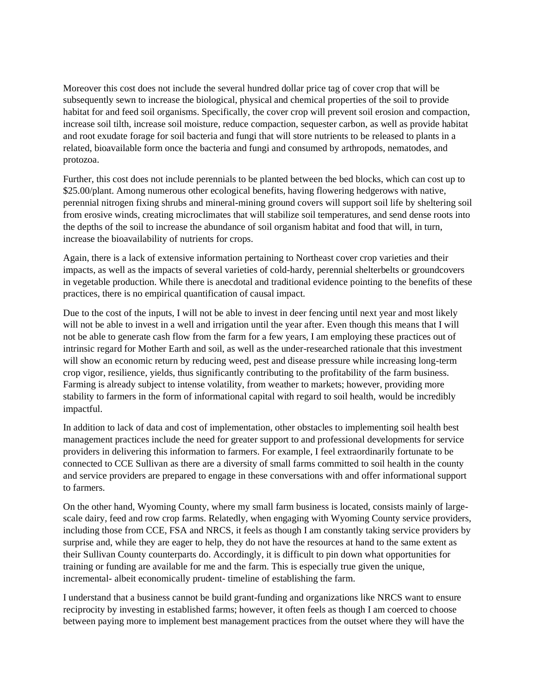Moreover this cost does not include the several hundred dollar price tag of cover crop that will be subsequently sewn to increase the biological, physical and chemical properties of the soil to provide habitat for and feed soil organisms. Specifically, the cover crop will prevent soil erosion and compaction, increase soil tilth, increase soil moisture, reduce compaction, sequester carbon, as well as provide habitat and root exudate forage for soil bacteria and fungi that will store nutrients to be released to plants in a related, bioavailable form once the bacteria and fungi and consumed by arthropods, nematodes, and protozoa.

Further, this cost does not include perennials to be planted between the bed blocks, which can cost up to \$25.00/plant. Among numerous other ecological benefits, having flowering hedgerows with native, perennial nitrogen fixing shrubs and mineral-mining ground covers will support soil life by sheltering soil from erosive winds, creating microclimates that will stabilize soil temperatures, and send dense roots into the depths of the soil to increase the abundance of soil organism habitat and food that will, in turn, increase the bioavailability of nutrients for crops.

Again, there is a lack of extensive information pertaining to Northeast cover crop varieties and their impacts, as well as the impacts of several varieties of cold-hardy, perennial shelterbelts or groundcovers in vegetable production. While there is anecdotal and traditional evidence pointing to the benefits of these practices, there is no empirical quantification of causal impact.

Due to the cost of the inputs, I will not be able to invest in deer fencing until next year and most likely will not be able to invest in a well and irrigation until the year after. Even though this means that I will not be able to generate cash flow from the farm for a few years, I am employing these practices out of intrinsic regard for Mother Earth and soil, as well as the under-researched rationale that this investment will show an economic return by reducing weed, pest and disease pressure while increasing long-term crop vigor, resilience, yields, thus significantly contributing to the profitability of the farm business. Farming is already subject to intense volatility, from weather to markets; however, providing more stability to farmers in the form of informational capital with regard to soil health, would be incredibly impactful.

In addition to lack of data and cost of implementation, other obstacles to implementing soil health best management practices include the need for greater support to and professional developments for service providers in delivering this information to farmers. For example, I feel extraordinarily fortunate to be connected to CCE Sullivan as there are a diversity of small farms committed to soil health in the county and service providers are prepared to engage in these conversations with and offer informational support to farmers.

On the other hand, Wyoming County, where my small farm business is located, consists mainly of largescale dairy, feed and row crop farms. Relatedly, when engaging with Wyoming County service providers, including those from CCE, FSA and NRCS, it feels as though I am constantly taking service providers by surprise and, while they are eager to help, they do not have the resources at hand to the same extent as their Sullivan County counterparts do. Accordingly, it is difficult to pin down what opportunities for training or funding are available for me and the farm. This is especially true given the unique, incremental- albeit economically prudent- timeline of establishing the farm.

I understand that a business cannot be build grant-funding and organizations like NRCS want to ensure reciprocity by investing in established farms; however, it often feels as though I am coerced to choose between paying more to implement best management practices from the outset where they will have the